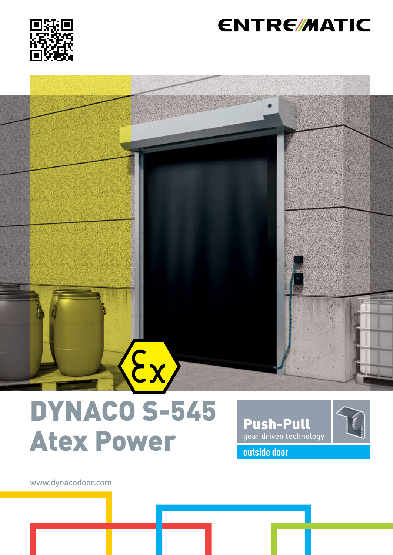

## **ENTRE/MATIC**

# $\mathbf{\hat{z}}$

# DYNACO S-545 Atex Power **outside door**

Push-Pull gear driven technology

www.dynacodoor.com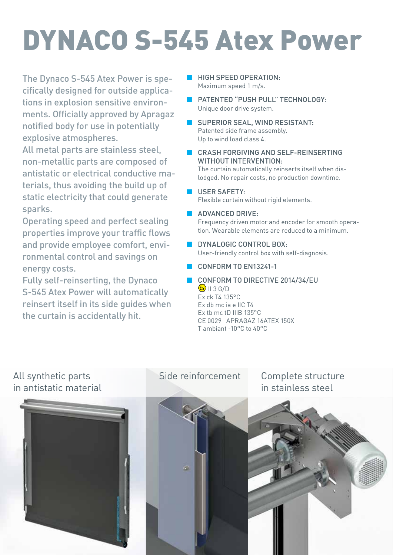# DYNACO S-545 Atex Power

The Dynaco S-545 Atex Power is specifically designed for outside applications in explosion sensitive environments. Officially approved by Apragaz notified body for use in potentially explosive atmospheres.

All metal parts are stainless steel, non-metallic parts are composed of antistatic or electrical conductive materials, thus avoiding the build up of static electricity that could generate sparks.

Operating speed and perfect sealing properties improve your traffic flows and provide employee comfort, environmental control and savings on energy costs.

Fully self-reinserting, the Dynaco S-545 Atex Power will automatically reinsert itself in its side guides when the curtain is accidentally hit.

- HIGH SPEED OPERATION· Maximum speed 1 m/s.
- **B** PATENTED "PUSH PULL" TECHNOLOGY: Unique door drive system.
- SUPERIOR SEAL, WIND RESISTANT: Patented side frame assembly. Up to wind load class 4.
- CRASH FORGIVING AND SELF-REINSERTING WITHOUT INTERVENTION:

The curtain automatically reinserts itself when dislodged. No repair costs, no production downtime.

- USER SAFETY: Flexible curtain without rigid elements.
- **ADVANCED DRIVE:**

Frequency driven motor and encoder for smooth operation. Wearable elements are reduced to a minimum.

- **BUYNALOGIC CONTROL BOX:** User-friendly control box with self-diagnosis.
- **CONFORM TO EN13241-1**
- CONFORM TO DIRECTIVE 2014/34/EU  $\langle \mathbf{\hat{x}} \rangle$  II 3 G/D Ex ck T4 135°C Ex db mc ia e IIC T4

Ex tb mc tD IIIB 135°C CE 0029 APRAGAZ 16ATEX 150X T ambiant -10°C to 40°C



Side reinforcement

Complete structure in stainless steel

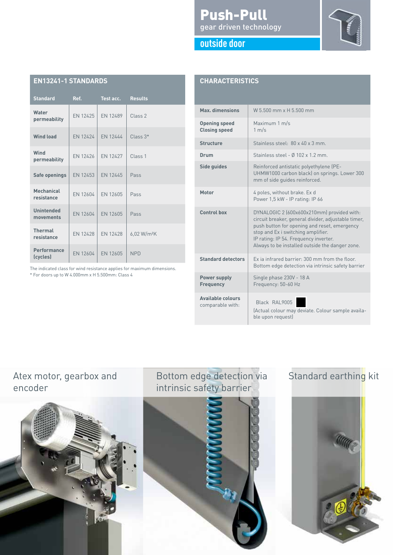### Push-Pull gear driven technology



| outside door |  |  |
|--------------|--|--|
|              |  |  |
|              |  |  |

| <b>EN13241-1 STANDARDS</b>     |          |                 |                         |  |  |
|--------------------------------|----------|-----------------|-------------------------|--|--|
| <b>Standard</b>                | Ref.     | Test acc.       | <b>Results</b>          |  |  |
| Water<br>permeability          | FN 12425 | FN 12489        | Class <sub>2</sub>      |  |  |
| <b>Wind load</b>               | EN 12424 | EN 12444        | $Class 3*$              |  |  |
| Wind<br>permeability           | FN 12426 | FN 12427        | Class <sub>1</sub>      |  |  |
| Safe openings                  | FN 12453 | FN 12445        | Pass                    |  |  |
| Mechanical<br>resistance       | EN 12604 | FN 12605        | Pass                    |  |  |
| <b>Unintended</b><br>movements | EN 12604 | <b>FN 12605</b> | Pass                    |  |  |
| <b>Thermal</b><br>resistance   | FN 12428 | FN 12428        | 6,02 W/m <sup>2</sup> K |  |  |
| <b>Performance</b><br>(cycles) | EN 12604 | EN 12605        | <b>NPD</b>              |  |  |

The indicated class for wind resistance applies for maximum dimensions. \* For doors up to W 4.000mm x H 5.500mm: Class 4

| <b>CHARACTERISTICS</b>                       |                                                                                                                                                                                                                                                                                     |  |  |  |
|----------------------------------------------|-------------------------------------------------------------------------------------------------------------------------------------------------------------------------------------------------------------------------------------------------------------------------------------|--|--|--|
| Max. dimensions                              | W 5 500 mm x H 5 500 mm                                                                                                                                                                                                                                                             |  |  |  |
| <b>Opening speed</b><br><b>Closing speed</b> | Maximum 1 m/s<br>1 m/s                                                                                                                                                                                                                                                              |  |  |  |
| <b>Structure</b>                             | Stainless steel: 80 x 40 x 3 mm.                                                                                                                                                                                                                                                    |  |  |  |
| Drum                                         | Stainless steel - $\emptyset$ 102 x 1.2 mm                                                                                                                                                                                                                                          |  |  |  |
| Side guides                                  | Reinforced antistatic polyethylene (PE-<br>UHMW1000 carbon black) on springs. Lower 300<br>mm of side guides reinforced.                                                                                                                                                            |  |  |  |
| <b>Motor</b>                                 | 4 poles, without brake. Ex d<br>Power 1,5 kW - IP rating: IP 66                                                                                                                                                                                                                     |  |  |  |
| <b>Control box</b>                           | DYNALOGIC 2 (600x600x210mm) provided with:<br>circuit breaker, general divider, adjustable timer,<br>push button for opening and reset, emergency<br>stop and Ex i switching amplifier.<br>IP rating: IP 54. Frequency inverter.<br>Always to be installed outside the danger zone. |  |  |  |
| <b>Standard detectors</b>                    | Ex ia infrared barrier: 300 mm from the floor.<br>Bottom edge detection via intrinsic safety barrier                                                                                                                                                                                |  |  |  |
| <b>Power supply</b><br><b>Frequency</b>      | Single phase 230V - 18 A<br>Frequency: 50-60 Hz                                                                                                                                                                                                                                     |  |  |  |
| <b>Available colours</b><br>comparable with: | Black RAL9005<br>(Actual colour may deviate. Colour sample availa-<br>ble upon request)                                                                                                                                                                                             |  |  |  |

### Atex motor, gearbox and encoder



### Bottom edge detection via intrinsic safety barrier



### Standard earthing kit